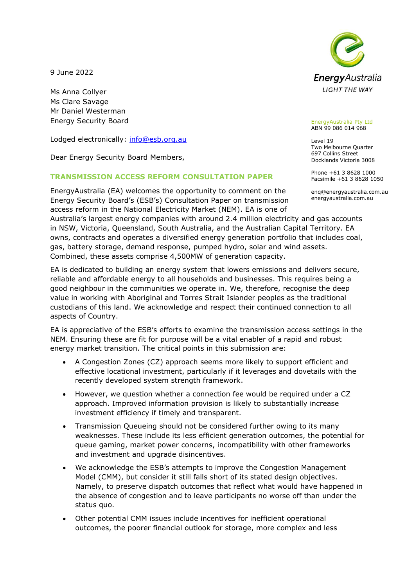9 June 2022

Ms Anna Collyer Ms Clare Savage Mr Daniel Westerman Energy Security Board

Lodged electronically: [info@esb.org.au](https://energyaustralia-my.sharepoint.com/personal/bradley_woods_energyaustralia_com_au/Documents/Work/Templates/info@esb.org.au)

Dear Energy Security Board Members,

## **TRANSMISSION ACCESS REFORM CONSULTATION PAPER**

EnergyAustralia (EA) welcomes the opportunity to comment on the Energy Security Board's (ESB's) Consultation Paper on transmission access reform in the National Electricity Market (NEM). EA is one of Australia's largest energy companies with around 2.4 million electricity and gas accounts in NSW, Victoria, Queensland, South Australia, and the Australian Capital Territory. EA owns, contracts and operates a diversified energy generation portfolio that includes coal, gas, battery storage, demand response, pumped hydro, solar and wind assets. Combined, these assets comprise 4,500MW of generation capacity.

EA is dedicated to building an energy system that lowers emissions and delivers secure, reliable and affordable energy to all households and businesses. This requires being a good neighbour in the communities we operate in. We, therefore, recognise the deep value in working with Aboriginal and Torres Strait Islander peoples as the traditional custodians of this land. We acknowledge and respect their continued connection to all aspects of Country.

EA is appreciative of the ESB's efforts to examine the transmission access settings in the NEM. Ensuring these are fit for purpose will be a vital enabler of a rapid and robust energy market transition. The critical points in this submission are:

- A Congestion Zones (CZ) approach seems more likely to support efficient and effective locational investment, particularly if it leverages and dovetails with the recently developed system strength framework.
- However, we question whether a connection fee would be required under a CZ approach. Improved information provision is likely to substantially increase investment efficiency if timely and transparent.
- Transmission Queueing should not be considered further owing to its many weaknesses. These include its less efficient generation outcomes, the potential for queue gaming, market power concerns, incompatibility with other frameworks and investment and upgrade disincentives.
- We acknowledge the ESB's attempts to improve the Congestion Management Model (CMM), but consider it still falls short of its stated design objectives. Namely, to preserve dispatch outcomes that reflect what would have happened in the absence of congestion and to leave participants no worse off than under the status quo.
- Other potential CMM issues include incentives for inefficient operational outcomes, the poorer financial outlook for storage, more complex and less



EnergyAustralia Pty Ltd ABN 99 086 014 968

Level 19 Two Melbourne Quarter 697 Collins Street Docklands Victoria 3008

Phone +61 3 8628 1000 Facsimile +61 3 8628 1050

enq@energyaustralia.com.au energyaustralia.com.au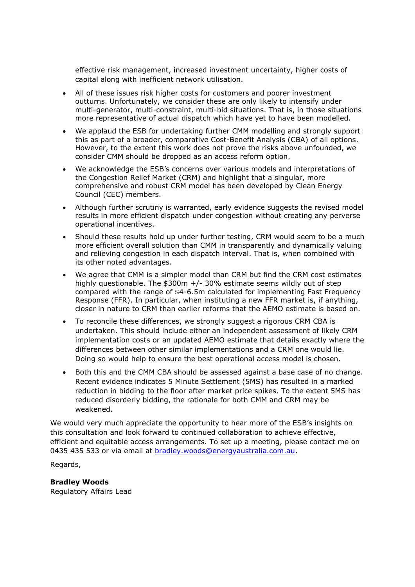effective risk management, increased investment uncertainty, higher costs of capital along with inefficient network utilisation.

- All of these issues risk higher costs for customers and poorer investment outturns. Unfortunately, we consider these are only likely to intensify under multi-generator, multi-constraint, multi-bid situations. That is, in those situations more representative of actual dispatch which have yet to have been modelled.
- We applaud the ESB for undertaking further CMM modelling and strongly support this as part of a broader, comparative Cost-Benefit Analysis (CBA) of all options. However, to the extent this work does not prove the risks above unfounded, we consider CMM should be dropped as an access reform option.
- We acknowledge the ESB's concerns over various models and interpretations of the Congestion Relief Market (CRM) and highlight that a singular, more comprehensive and robust CRM model has been developed by Clean Energy Council (CEC) members.
- Although further scrutiny is warranted, early evidence suggests the revised model results in more efficient dispatch under congestion without creating any perverse operational incentives.
- Should these results hold up under further testing, CRM would seem to be a much more efficient overall solution than CMM in transparently and dynamically valuing and relieving congestion in each dispatch interval. That is, when combined with its other noted advantages.
- We agree that CMM is a simpler model than CRM but find the CRM cost estimates highly questionable. The \$300m +/- 30% estimate seems wildly out of step compared with the range of \$4-6.5m calculated for implementing Fast Frequency Response (FFR). In particular, when instituting a new FFR market is, if anything, closer in nature to CRM than earlier reforms that the AEMO estimate is based on.
- To reconcile these differences, we strongly suggest a rigorous CRM CBA is undertaken. This should include either an independent assessment of likely CRM implementation costs or an updated AEMO estimate that details exactly where the differences between other similar implementations and a CRM one would lie. Doing so would help to ensure the best operational access model is chosen.
- Both this and the CMM CBA should be assessed against a base case of no change. Recent evidence indicates 5 Minute Settlement (5MS) has resulted in a marked reduction in bidding to the floor after market price spikes. To the extent 5MS has reduced disorderly bidding, the rationale for both CMM and CRM may be weakened.

We would very much appreciate the opportunity to hear more of the ESB's insights on this consultation and look forward to continued collaboration to achieve effective, efficient and equitable access arrangements. To set up a meeting, please contact me on 0435 435 533 or via email at **bradley.woods@energyaustralia.com.au.** 

Regards,

# **Bradley Woods**

Regulatory Affairs Lead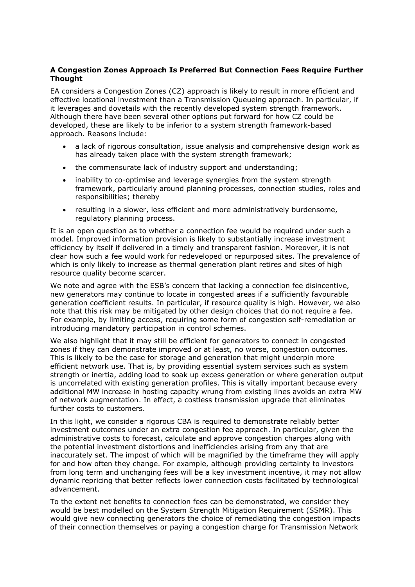# **A Congestion Zones Approach Is Preferred But Connection Fees Require Further Thought**

EA considers a Congestion Zones (CZ) approach is likely to result in more efficient and effective locational investment than a Transmission Queueing approach. In particular, if it leverages and dovetails with the recently developed system strength framework. Although there have been several other options put forward for how CZ could be developed, these are likely to be inferior to a system strength framework-based approach. Reasons include:

- a lack of rigorous consultation, issue analysis and comprehensive design work as has already taken place with the system strength framework;
- the commensurate lack of industry support and understanding;
- inability to co-optimise and leverage synergies from the system strength framework, particularly around planning processes, connection studies, roles and responsibilities; thereby
- resulting in a slower, less efficient and more administratively burdensome, regulatory planning process.

It is an open question as to whether a connection fee would be required under such a model. Improved information provision is likely to substantially increase investment efficiency by itself if delivered in a timely and transparent fashion. Moreover, it is not clear how such a fee would work for redeveloped or repurposed sites. The prevalence of which is only likely to increase as thermal generation plant retires and sites of high resource quality become scarcer.

We note and agree with the ESB's concern that lacking a connection fee disincentive, new generators may continue to locate in congested areas if a sufficiently favourable generation coefficient results. In particular, if resource quality is high. However, we also note that this risk may be mitigated by other design choices that do not require a fee. For example, by limiting access, requiring some form of congestion self-remediation or introducing mandatory participation in control schemes.

We also highlight that it may still be efficient for generators to connect in congested zones if they can demonstrate improved or at least, no worse, congestion outcomes. This is likely to be the case for storage and generation that might underpin more efficient network use. That is, by providing essential system services such as system strength or inertia, adding load to soak up excess generation or where generation output is uncorrelated with existing generation profiles. This is vitally important because every additional MW increase in hosting capacity wrung from existing lines avoids an extra MW of network augmentation. In effect, a costless transmission upgrade that eliminates further costs to customers.

In this light, we consider a rigorous CBA is required to demonstrate reliably better investment outcomes under an extra congestion fee approach. In particular, given the administrative costs to forecast, calculate and approve congestion charges along with the potential investment distortions and inefficiencies arising from any that are inaccurately set. The impost of which will be magnified by the timeframe they will apply for and how often they change. For example, although providing certainty to investors from long term and unchanging fees will be a key investment incentive, it may not allow dynamic repricing that better reflects lower connection costs facilitated by technological advancement.

To the extent net benefits to connection fees can be demonstrated, we consider they would be best modelled on the System Strength Mitigation Requirement (SSMR). This would give new connecting generators the choice of remediating the congestion impacts of their connection themselves or paying a congestion charge for Transmission Network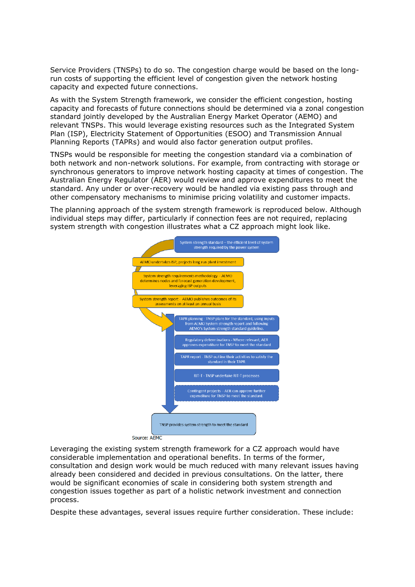Service Providers (TNSPs) to do so. The congestion charge would be based on the longrun costs of supporting the efficient level of congestion given the network hosting capacity and expected future connections.

As with the System Strength framework, we consider the efficient congestion, hosting capacity and forecasts of future connections should be determined via a zonal congestion standard jointly developed by the Australian Energy Market Operator (AEMO) and relevant TNSPs. This would leverage existing resources such as the Integrated System Plan (ISP), Electricity Statement of Opportunities (ESOO) and Transmission Annual Planning Reports (TAPRs) and would also factor generation output profiles.

TNSPs would be responsible for meeting the congestion standard via a combination of both network and non-network solutions. For example, from contracting with storage or synchronous generators to improve network hosting capacity at times of congestion. The Australian Energy Regulator (AER) would review and approve expenditures to meet the standard. Any under or over-recovery would be handled via existing pass through and other compensatory mechanisms to minimise pricing volatility and customer impacts.

The planning approach of the system strength framework is reproduced below. Although individual steps may differ, particularly if connection fees are not required, replacing system strength with congestion illustrates what a CZ approach might look like.



Leveraging the existing system strength framework for a CZ approach would have considerable implementation and operational benefits. In terms of the former, consultation and design work would be much reduced with many relevant issues having already been considered and decided in previous consultations. On the latter, there would be significant economies of scale in considering both system strength and congestion issues together as part of a holistic network investment and connection process.

Despite these advantages, several issues require further consideration. These include: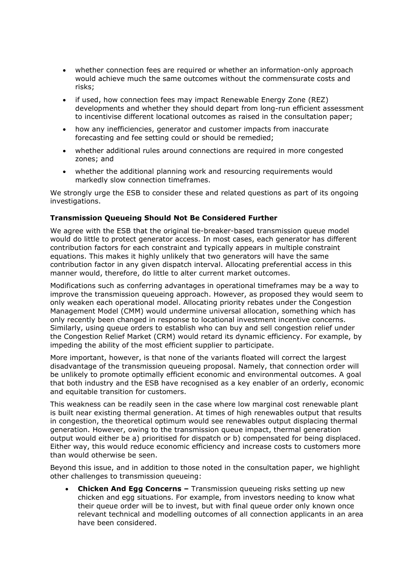- whether connection fees are required or whether an information-only approach would achieve much the same outcomes without the commensurate costs and risks;
- if used, how connection fees may impact Renewable Energy Zone (REZ) developments and whether they should depart from long-run efficient assessment to incentivise different locational outcomes as raised in the consultation paper;
- how any inefficiencies, generator and customer impacts from inaccurate forecasting and fee setting could or should be remedied;
- whether additional rules around connections are required in more congested zones; and
- whether the additional planning work and resourcing requirements would markedly slow connection timeframes.

We strongly urge the ESB to consider these and related questions as part of its ongoing investigations.

## **Transmission Queueing Should Not Be Considered Further**

We agree with the ESB that the original tie-breaker-based transmission queue model would do little to protect generator access. In most cases, each generator has different contribution factors for each constraint and typically appears in multiple constraint equations. This makes it highly unlikely that two generators will have the same contribution factor in any given dispatch interval. Allocating preferential access in this manner would, therefore, do little to alter current market outcomes.

Modifications such as conferring advantages in operational timeframes may be a way to improve the transmission queueing approach. However, as proposed they would seem to only weaken each operational model. Allocating priority rebates under the Congestion Management Model (CMM) would undermine universal allocation, something which has only recently been changed in response to locational investment incentive concerns. Similarly, using queue orders to establish who can buy and sell congestion relief under the Congestion Relief Market (CRM) would retard its dynamic efficiency. For example, by impeding the ability of the most efficient supplier to participate.

More important, however, is that none of the variants floated will correct the largest disadvantage of the transmission queueing proposal. Namely, that connection order will be unlikely to promote optimally efficient economic and environmental outcomes. A goal that both industry and the ESB have recognised as a key enabler of an orderly, economic and equitable transition for customers.

This weakness can be readily seen in the case where low marginal cost renewable plant is built near existing thermal generation. At times of high renewables output that results in congestion, the theoretical optimum would see renewables output displacing thermal generation. However, owing to the transmission queue impact, thermal generation output would either be a) prioritised for dispatch or b) compensated for being displaced. Either way, this would reduce economic efficiency and increase costs to customers more than would otherwise be seen.

Beyond this issue, and in addition to those noted in the consultation paper, we highlight other challenges to transmission queueing:

• **Chicken And Egg Concerns –** Transmission queueing risks setting up new chicken and egg situations. For example, from investors needing to know what their queue order will be to invest, but with final queue order only known once relevant technical and modelling outcomes of all connection applicants in an area have been considered.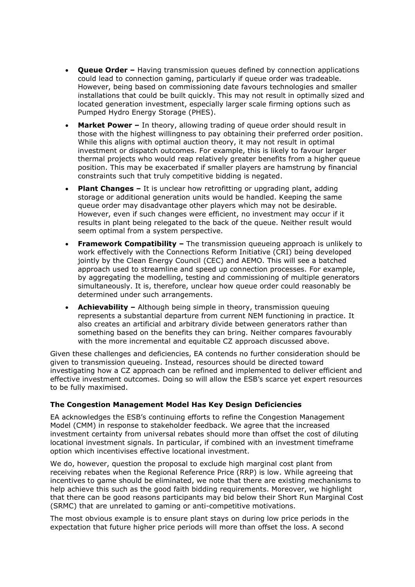- **Queue Order –** Having transmission queues defined by connection applications could lead to connection gaming, particularly if queue order was tradeable. However, being based on commissioning date favours technologies and smaller installations that could be built quickly. This may not result in optimally sized and located generation investment, especially larger scale firming options such as Pumped Hydro Energy Storage (PHES).
- **Market Power –** In theory, allowing trading of queue order should result in those with the highest willingness to pay obtaining their preferred order position. While this aligns with optimal auction theory, it may not result in optimal investment or dispatch outcomes. For example, this is likely to favour larger thermal projects who would reap relatively greater benefits from a higher queue position. This may be exacerbated if smaller players are hamstrung by financial constraints such that truly competitive bidding is negated.
- **Plant Changes –** It is unclear how retrofitting or upgrading plant, adding storage or additional generation units would be handled. Keeping the same queue order may disadvantage other players which may not be desirable. However, even if such changes were efficient, no investment may occur if it results in plant being relegated to the back of the queue. Neither result would seem optimal from a system perspective.
- **Framework Compatibility –** The transmission queueing approach is unlikely to work effectively with the Connections Reform Initiative (CRI) being developed jointly by the Clean Energy Council (CEC) and AEMO. This will see a batched approach used to streamline and speed up connection processes. For example, by aggregating the modelling, testing and commissioning of multiple generators simultaneously. It is, therefore, unclear how queue order could reasonably be determined under such arrangements.
- **Achievability –** Although being simple in theory, transmission queuing represents a substantial departure from current NEM functioning in practice. It also creates an artificial and arbitrary divide between generators rather than something based on the benefits they can bring. Neither compares favourably with the more incremental and equitable CZ approach discussed above.

Given these challenges and deficiencies, EA contends no further consideration should be given to transmission queueing. Instead, resources should be directed toward investigating how a CZ approach can be refined and implemented to deliver efficient and effective investment outcomes. Doing so will allow the ESB's scarce yet expert resources to be fully maximised.

#### **The Congestion Management Model Has Key Design Deficiencies**

EA acknowledges the ESB's continuing efforts to refine the Congestion Management Model (CMM) in response to stakeholder feedback. We agree that the increased investment certainty from universal rebates should more than offset the cost of diluting locational investment signals. In particular, if combined with an investment timeframe option which incentivises effective locational investment.

We do, however, question the proposal to exclude high marginal cost plant from receiving rebates when the Regional Reference Price (RRP) is low. While agreeing that incentives to game should be eliminated, we note that there are existing mechanisms to help achieve this such as the good faith bidding requirements. Moreover, we highlight that there can be good reasons participants may bid below their Short Run Marginal Cost (SRMC) that are unrelated to gaming or anti-competitive motivations.

The most obvious example is to ensure plant stays on during low price periods in the expectation that future higher price periods will more than offset the loss. A second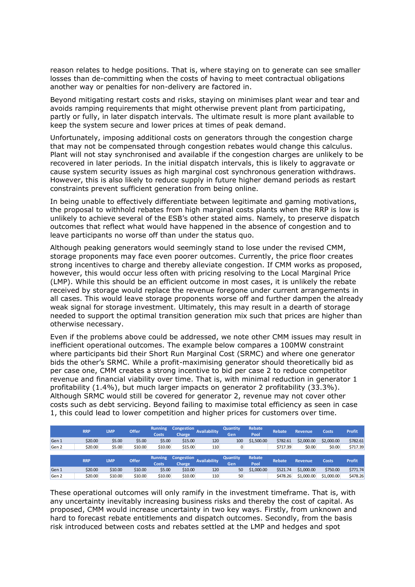reason relates to hedge positions. That is, where staying on to generate can see smaller losses than de-committing when the costs of having to meet contractual obligations another way or penalties for non-delivery are factored in.

Beyond mitigating restart costs and risks, staying on minimises plant wear and tear and avoids ramping requirements that might otherwise prevent plant from participating, partly or fully, in later dispatch intervals. The ultimate result is more plant available to keep the system secure and lower prices at times of peak demand.

Unfortunately, imposing additional costs on generators through the congestion charge that may not be compensated through congestion rebates would change this calculus. Plant will not stay synchronised and available if the congestion charges are unlikely to be recovered in later periods. In the initial dispatch intervals, this is likely to aggravate or cause system security issues as high marginal cost synchronous generation withdraws. However, this is also likely to reduce supply in future higher demand periods as restart constraints prevent sufficient generation from being online.

In being unable to effectively differentiate between legitimate and gaming motivations, the proposal to withhold rebates from high marginal costs plants when the RRP is low is unlikely to achieve several of the ESB's other stated aims. Namely, to preserve dispatch outcomes that reflect what would have happened in the absence of congestion and to leave participants no worse off than under the status quo.

Although peaking generators would seemingly stand to lose under the revised CMM, storage proponents may face even poorer outcomes. Currently, the price floor creates strong incentives to charge and thereby alleviate congestion. If CMM works as proposed, however, this would occur less often with pricing resolving to the Local Marginal Price (LMP). While this should be an efficient outcome in most cases, it is unlikely the rebate received by storage would replace the revenue foregone under current arrangements in all cases. This would leave storage proponents worse off and further dampen the already weak signal for storage investment. Ultimately, this may result in a dearth of storage needed to support the optimal transition generation mix such that prices are higher than otherwise necessary.

Even if the problems above could be addressed, we note other CMM issues may result in inefficient operational outcomes. The example below compares a 100MW constraint where participants bid their Short Run Marginal Cost (SRMC) and where one generator bids the other's SRMC. While a profit-maximising generator should theoretically bid as per case one, CMM creates a strong incentive to bid per case 2 to reduce competitor revenue and financial viability over time. That is, with minimal reduction in generator 1 profitability (1.4%), but much larger impacts on generator 2 profitability (33.3%). Although SRMC would still be covered for generator 2, revenue may not cover other costs such as debt servicing. Beyond failing to maximise total efficiency as seen in case 1, this could lead to lower competition and higher prices for customers over time.

|       | <b>RRP</b> | LMP     | <b>Offer</b> | <b>Running</b><br><b>Costs</b> | <b>Congestion</b><br>Charge | <b>Availability</b> | <b>Quantity</b><br>Gen | Rebate<br>Pool | <b>Rebate</b> | <b>Revenue</b> | <b>Costs</b> | <b>Profit</b> |
|-------|------------|---------|--------------|--------------------------------|-----------------------------|---------------------|------------------------|----------------|---------------|----------------|--------------|---------------|
| Gen 1 | \$20.00    | \$5.00  | \$5.00       | \$5.00                         | \$15.00                     | 120                 | 100                    | \$1,500.00     | \$782.61      | \$2,000.00     | \$2,000.00   | \$782.61      |
| Gen 2 | \$20.00    | \$5.00  | \$10.00      | \$10.00                        | \$15.00                     | 110                 | 0                      |                | \$717.39      | \$0.00         | \$0.00       | \$717.39      |
|       |            |         |              |                                |                             |                     |                        |                |               |                |              |               |
|       |            |         |              |                                |                             |                     |                        |                |               |                |              |               |
|       |            |         |              | <b>Running</b>                 | <b>Congestion</b>           |                     | <b>Quantity</b>        | Rebate         |               |                |              |               |
|       | <b>RRP</b> | LMP     | <b>Offer</b> | <b>Costs</b>                   | Charge                      | <b>Availability</b> | Gen                    | Pool           | <b>Rebate</b> | <b>Revenue</b> | <b>Costs</b> | <b>Profit</b> |
| Gen 1 | \$20.00    | \$10.00 | \$10.00      | \$5.00                         | \$10.00                     | 120                 | 50                     | \$1,000.00     | \$521.74      | \$1,000.00     | \$750.00     | \$771.74      |

These operational outcomes will only ramify in the investment timeframe. That is, with any uncertainty inevitably increasing business risks and thereby the cost of capital. As proposed, CMM would increase uncertainty in two key ways. Firstly, from unknown and hard to forecast rebate entitlements and dispatch outcomes. Secondly, from the basis risk introduced between costs and rebates settled at the LMP and hedges and spot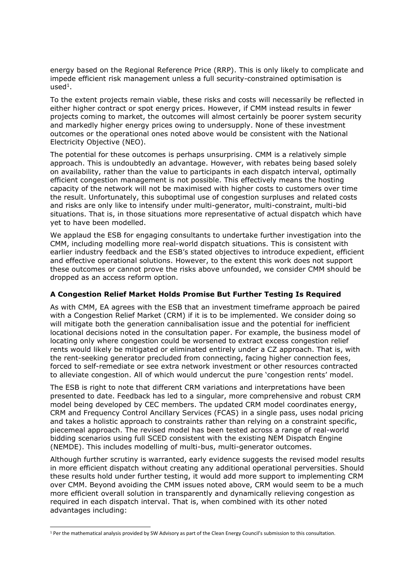energy based on the Regional Reference Price (RRP). This is only likely to complicate and impede efficient risk management unless a full security-constrained optimisation is  $used<sup>1</sup>$ .

To the extent projects remain viable, these risks and costs will necessarily be reflected in either higher contract or spot energy prices. However, if CMM instead results in fewer projects coming to market, the outcomes will almost certainly be poorer system security and markedly higher energy prices owing to undersupply. None of these investment outcomes or the operational ones noted above would be consistent with the National Electricity Objective (NEO).

The potential for these outcomes is perhaps unsurprising. CMM is a relatively simple approach. This is undoubtedly an advantage. However, with rebates being based solely on availability, rather than the value to participants in each dispatch interval, optimally efficient congestion management is not possible. This effectively means the hosting capacity of the network will not be maximised with higher costs to customers over time the result. Unfortunately, this suboptimal use of congestion surpluses and related costs and risks are only like to intensify under multi-generator, multi-constraint, multi-bid situations. That is, in those situations more representative of actual dispatch which have yet to have been modelled.

We applaud the ESB for engaging consultants to undertake further investigation into the CMM, including modelling more real-world dispatch situations. This is consistent with earlier industry feedback and the ESB's stated objectives to introduce expedient, efficient and effective operational solutions. However, to the extent this work does not support these outcomes or cannot prove the risks above unfounded, we consider CMM should be dropped as an access reform option.

#### **A Congestion Relief Market Holds Promise But Further Testing Is Required**

As with CMM, EA agrees with the ESB that an investment timeframe approach be paired with a Congestion Relief Market (CRM) if it is to be implemented. We consider doing so will mitigate both the generation cannibalisation issue and the potential for inefficient locational decisions noted in the consultation paper. For example, the business model of locating only where congestion could be worsened to extract excess congestion relief rents would likely be mitigated or eliminated entirely under a CZ approach. That is, with the rent-seeking generator precluded from connecting, facing higher connection fees, forced to self-remediate or see extra network investment or other resources contracted to alleviate congestion. All of which would undercut the pure 'congestion rents' model.

The ESB is right to note that different CRM variations and interpretations have been presented to date. Feedback has led to a singular, more comprehensive and robust CRM model being developed by CEC members. The updated CRM model coordinates energy, CRM and Frequency Control Ancillary Services (FCAS) in a single pass, uses nodal pricing and takes a holistic approach to constraints rather than relying on a constraint specific, piecemeal approach. The revised model has been tested across a range of real-world bidding scenarios using full SCED consistent with the existing NEM Dispatch Engine (NEMDE). This includes modelling of multi-bus, multi-generator outcomes.

Although further scrutiny is warranted, early evidence suggests the revised model results in more efficient dispatch without creating any additional operational perversities. Should these results hold under further testing, it would add more support to implementing CRM over CMM. Beyond avoiding the CMM issues noted above, CRM would seem to be a much more efficient overall solution in transparently and dynamically relieving congestion as required in each dispatch interval. That is, when combined with its other noted advantages including:

<sup>1</sup> Per the mathematical analysis provided by SW Advisory as part of the Clean Energy Council's submission to this consultation.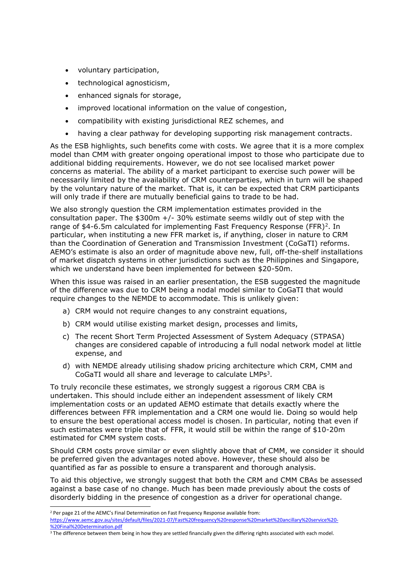- voluntary participation,
- technological agnosticism,
- enhanced signals for storage,
- improved locational information on the value of congestion,
- compatibility with existing jurisdictional REZ schemes, and
- having a clear pathway for developing supporting risk management contracts.

As the ESB highlights, such benefits come with costs. We agree that it is a more complex model than CMM with greater ongoing operational impost to those who participate due to additional bidding requirements. However, we do not see localised market power concerns as material. The ability of a market participant to exercise such power will be necessarily limited by the availability of CRM counterparties, which in turn will be shaped by the voluntary nature of the market. That is, it can be expected that CRM participants will only trade if there are mutually beneficial gains to trade to be had.

We also strongly question the CRM implementation estimates provided in the consultation paper. The  $$300m +/- 30%$  estimate seems wildly out of step with the range of \$4-6.5m calculated for implementing Fast Frequency Response (FFR)<sup>2</sup>. In particular, when instituting a new FFR market is, if anything, closer in nature to CRM than the Coordination of Generation and Transmission Investment (CoGaTI) reforms. AEMO's estimate is also an order of magnitude above new, full, off-the-shelf installations of market dispatch systems in other jurisdictions such as the Philippines and Singapore, which we understand have been implemented for between \$20-50m.

When this issue was raised in an earlier presentation, the ESB suggested the magnitude of the difference was due to CRM being a nodal model similar to CoGaTI that would require changes to the NEMDE to accommodate. This is unlikely given:

- a) CRM would not require changes to any constraint equations,
- b) CRM would utilise existing market design, processes and limits,
- c) The recent Short Term Projected Assessment of System Adequacy (STPASA) changes are considered capable of introducing a full nodal network model at little expense, and
- d) with NEMDE already utilising shadow pricing architecture which CRM, CMM and CoGaTI would all share and leverage to calculate LMPs<sup>3</sup>.

To truly reconcile these estimates, we strongly suggest a rigorous CRM CBA is undertaken. This should include either an independent assessment of likely CRM implementation costs or an updated AEMO estimate that details exactly where the differences between FFR implementation and a CRM one would lie. Doing so would help to ensure the best operational access model is chosen. In particular, noting that even if such estimates were triple that of FFR, it would still be within the range of \$10-20m estimated for CMM system costs.

Should CRM costs prove similar or even slightly above that of CMM, we consider it should be preferred given the advantages noted above. However, these should also be quantified as far as possible to ensure a transparent and thorough analysis.

To aid this objective, we strongly suggest that both the CRM and CMM CBAs be assessed against a base case of no change. Much has been made previously about the costs of disorderly bidding in the presence of congestion as a driver for operational change.

<sup>&</sup>lt;sup>2</sup> Per page 21 of the AEMC's Final Determination on Fast Frequency Response available from: [https://www.aemc.gov.au/sites/default/files/2021-07/Fast%20frequency%20response%20market%20ancillary%20service%20-](https://www.aemc.gov.au/sites/default/files/2021-07/Fast%20frequency%20response%20market%20ancillary%20service%20-%20Final%20Determination.pdf) [%20Final%20Determination.pdf](https://www.aemc.gov.au/sites/default/files/2021-07/Fast%20frequency%20response%20market%20ancillary%20service%20-%20Final%20Determination.pdf)

<sup>&</sup>lt;sup>3</sup> The difference between them being in how they are settled financially given the differing rights associated with each model.